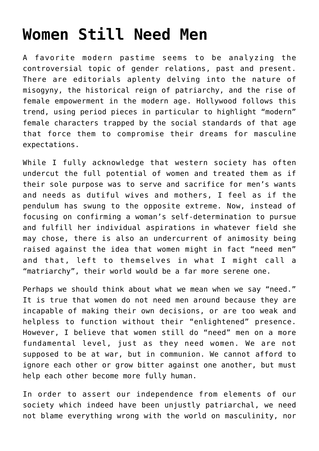## **[Women Still Need Men](https://intellectualtakeout.org/2016/10/women-still-need-men/)**

A favorite modern pastime seems to be analyzing the controversial topic of gender relations, past and present. There are editorials aplenty delving into the nature of misogyny, the historical reign of patriarchy, and the rise of female empowerment in the modern age. Hollywood follows this trend, using period pieces in particular to highlight "modern" female characters trapped by the social standards of that age that force them to compromise their dreams for masculine expectations.

While I fully acknowledge that western society has often undercut the full potential of women and treated them as if their sole purpose was to serve and sacrifice for men's wants and needs as dutiful wives and mothers, I feel as if the pendulum has swung to the opposite extreme. Now, instead of focusing on confirming a woman's self-determination to pursue and fulfill her individual aspirations in whatever field she may chose, there is also an undercurrent of animosity being raised against the idea that women might in fact "need men" and that, left to themselves in what I might call a "matriarchy", their world would be a far more serene one.

Perhaps we should think about what we mean when we say "need." It is true that women do not need men around because they are incapable of making their own decisions, or are too weak and helpless to function without their "enlightened" presence. However, I believe that women still do "need" men on a more fundamental level, just as they need women. We are not supposed to be at war, but in communion. We cannot afford to ignore each other or grow bitter against one another, but must help each other become more fully human.

In order to assert our independence from elements of our society which indeed have been unjustly patriarchal, we need not blame everything wrong with the world on masculinity, nor